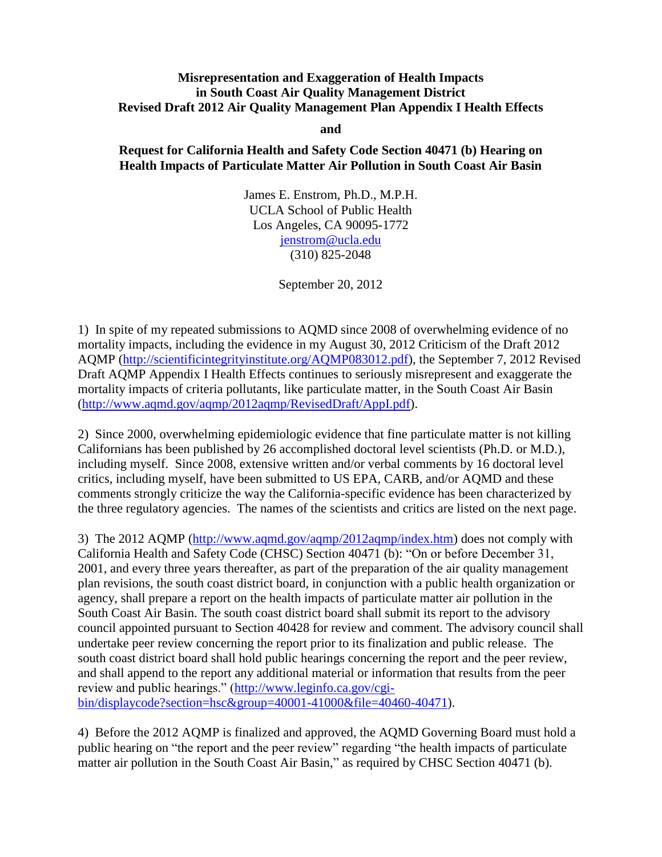## **Misrepresentation and Exaggeration of Health Impacts in South Coast Air Quality Management District Revised Draft 2012 Air Quality Management Plan Appendix I Health Effects**

**and**

## **Request for California Health and Safety Code Section 40471 (b) Hearing on Health Impacts of Particulate Matter Air Pollution in South Coast Air Basin**

James E. Enstrom, Ph.D., M.P.H. UCLA School of Public Health Los Angeles, CA 90095-1772 [jenstrom@ucla.edu](mailto:jenstrom@ucla.edu) (310) 825-2048

September 20, 2012

1) In spite of my repeated submissions to AQMD since 2008 of overwhelming evidence of no mortality impacts, including the evidence in my August 30, 2012 Criticism of the Draft 2012 AQMP [\(http://scientificintegrityinstitute.org/AQMP083012.pdf\)](http://scientificintegrityinstitute.org/AQMP083012.pdf), the September 7, 2012 Revised Draft AQMP Appendix I Health Effects continues to seriously misrepresent and exaggerate the mortality impacts of criteria pollutants, like particulate matter, in the South Coast Air Basin [\(http://www.aqmd.gov/aqmp/2012aqmp/RevisedDraft/AppI.pdf\)](http://www.aqmd.gov/aqmp/2012aqmp/RevisedDraft/AppI.pdf).

2) Since 2000, overwhelming epidemiologic evidence that fine particulate matter is not killing Californians has been published by 26 accomplished doctoral level scientists (Ph.D. or M.D.), including myself. Since 2008, extensive written and/or verbal comments by 16 doctoral level critics, including myself, have been submitted to US EPA, CARB, and/or AQMD and these comments strongly criticize the way the California-specific evidence has been characterized by the three regulatory agencies. The names of the scientists and critics are listed on the next page.

3) The 2012 AQMP [\(http://www.aqmd.gov/aqmp/2012aqmp/index.htm\)](http://www.aqmd.gov/aqmp/2012aqmp/index.htm) does not comply with California Health and Safety Code (CHSC) Section 40471 (b): "On or before December 31, 2001, and every three years thereafter, as part of the preparation of the air quality management plan revisions, the south coast district board, in conjunction with a public health organization or agency, shall prepare a report on the health impacts of particulate matter air pollution in the South Coast Air Basin. The south coast district board shall submit its report to the advisory council appointed pursuant to Section 40428 for review and comment. The advisory council shall undertake peer review concerning the report prior to its finalization and public release. The south coast district board shall hold public hearings concerning the report and the peer review, and shall append to the report any additional material or information that results from the peer review and public hearings." [\(http://www.leginfo.ca.gov/cgi](http://www.leginfo.ca.gov/cgi-bin/displaycode?section=hsc&group=40001-41000&file=40460-40471)[bin/displaycode?section=hsc&group=40001-41000&file=40460-40471\)](http://www.leginfo.ca.gov/cgi-bin/displaycode?section=hsc&group=40001-41000&file=40460-40471).

4) Before the 2012 AQMP is finalized and approved, the AQMD Governing Board must hold a public hearing on "the report and the peer review" regarding "the health impacts of particulate matter air pollution in the South Coast Air Basin," as required by CHSC Section 40471 (b).